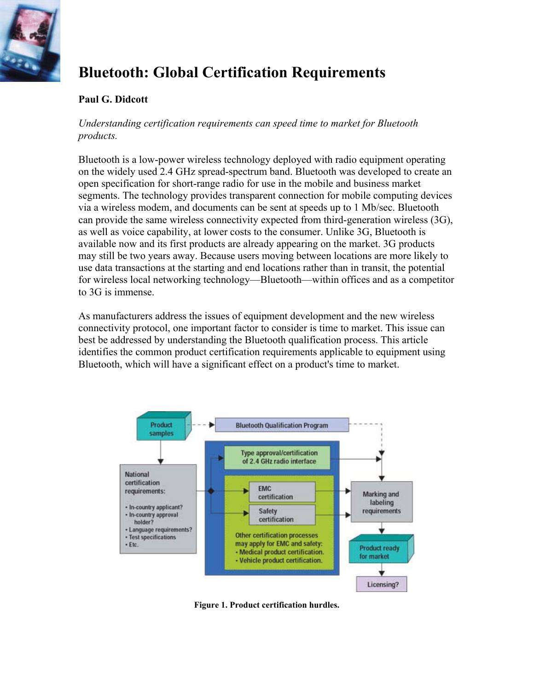

# **Bluetooth: Global Certification Requirements**

# **Paul G. Didcott**

*Understanding certification requirements can speed time to market for Bluetooth products.*

Bluetooth is a low-power wireless technology deployed with radio equipment operating on the widely used 2.4 GHz spread-spectrum band. Bluetooth was developed to create an open specification for short-range radio for use in the mobile and business market segments. The technology provides transparent connection for mobile computing devices via a wireless modem, and documents can be sent at speeds up to 1 Mb/sec. Bluetooth can provide the same wireless connectivity expected from third-generation wireless (3G), as well as voice capability, at lower costs to the consumer. Unlike 3G, Bluetooth is available now and its first products are already appearing on the market. 3G products may still be two years away. Because users moving between locations are more likely to use data transactions at the starting and end locations rather than in transit, the potential for wireless local networking technology—Bluetooth—within offices and as a competitor to 3G is immense.

As manufacturers address the issues of equipment development and the new wireless connectivity protocol, one important factor to consider is time to market. This issue can best be addressed by understanding the Bluetooth qualification process. This article identifies the common product certification requirements applicable to equipment using Bluetooth, which will have a significant effect on a product's time to market.



**Figure 1. Product certification hurdles.**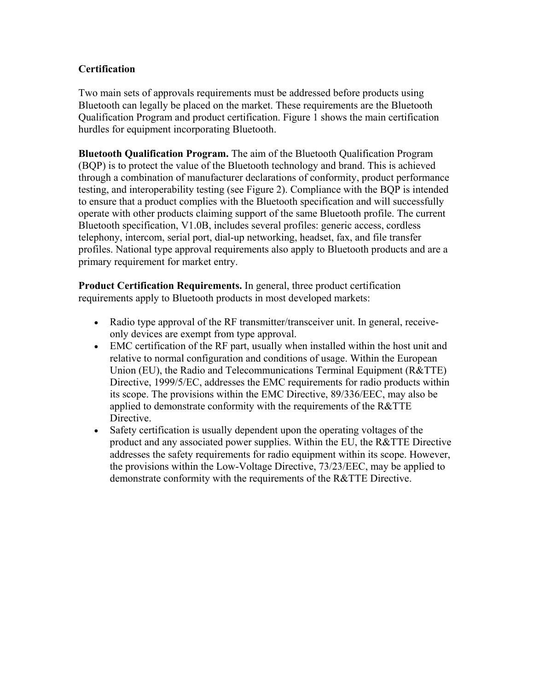# **Certification**

Two main sets of approvals requirements must be addressed before products using Bluetooth can legally be placed on the market. These requirements are the Bluetooth Qualification Program and product certification. Figure 1 shows the main certification hurdles for equipment incorporating Bluetooth.

**Bluetooth Qualification Program.** The aim of the Bluetooth Qualification Program (BQP) is to protect the value of the Bluetooth technology and brand. This is achieved through a combination of manufacturer declarations of conformity, product performance testing, and interoperability testing (see Figure 2). Compliance with the BQP is intended to ensure that a product complies with the Bluetooth specification and will successfully operate with other products claiming support of the same Bluetooth profile. The current Bluetooth specification, V1.0B, includes several profiles: generic access, cordless telephony, intercom, serial port, dial-up networking, headset, fax, and file transfer profiles. National type approval requirements also apply to Bluetooth products and are a primary requirement for market entry.

**Product Certification Requirements.** In general, three product certification requirements apply to Bluetooth products in most developed markets:

- Radio type approval of the RF transmitter/transceiver unit. In general, receiveonly devices are exempt from type approval.
- EMC certification of the RF part, usually when installed within the host unit and relative to normal configuration and conditions of usage. Within the European Union (EU), the Radio and Telecommunications Terminal Equipment (R&TTE) Directive, 1999/5/EC, addresses the EMC requirements for radio products within its scope. The provisions within the EMC Directive, 89/336/EEC, may also be applied to demonstrate conformity with the requirements of the R&TTE Directive.
- Safety certification is usually dependent upon the operating voltages of the product and any associated power supplies. Within the EU, the R&TTE Directive addresses the safety requirements for radio equipment within its scope. However, the provisions within the Low-Voltage Directive, 73/23/EEC, may be applied to demonstrate conformity with the requirements of the R&TTE Directive.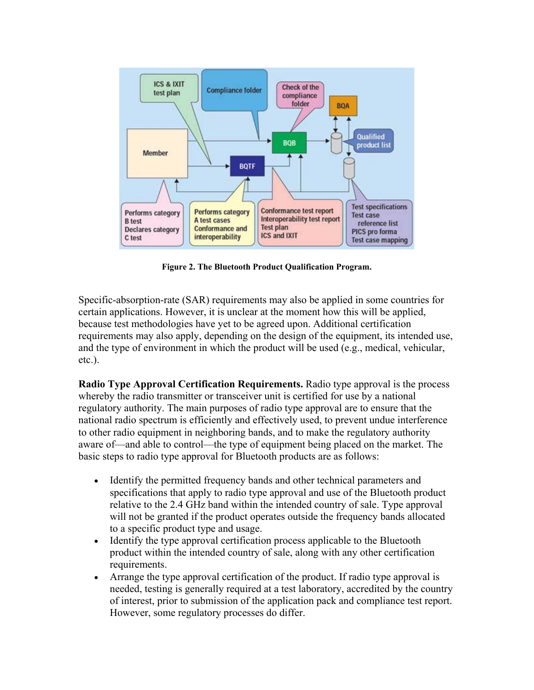

**Figure 2. The Bluetooth Product Qualification Program.**

Specific-absorption-rate (SAR) requirements may also be applied in some countries for certain applications. However, it is unclear at the moment how this will be applied, because test methodologies have yet to be agreed upon. Additional certification requirements may also apply, depending on the design of the equipment, its intended use, and the type of environment in which the product will be used (e.g., medical, vehicular, etc.).

**Radio Type Approval Certification Requirements.** Radio type approval is the process whereby the radio transmitter or transceiver unit is certified for use by a national regulatory authority. The main purposes of radio type approval are to ensure that the national radio spectrum is efficiently and effectively used, to prevent undue interference to other radio equipment in neighboring bands, and to make the regulatory authority aware of—and able to control—the type of equipment being placed on the market. The basic steps to radio type approval for Bluetooth products are as follows:

- Identify the permitted frequency bands and other technical parameters and specifications that apply to radio type approval and use of the Bluetooth product relative to the 2.4 GHz band within the intended country of sale. Type approval will not be granted if the product operates outside the frequency bands allocated to a specific product type and usage.
- Identify the type approval certification process applicable to the Bluetooth product within the intended country of sale, along with any other certification requirements.
- Arrange the type approval certification of the product. If radio type approval is needed, testing is generally required at a test laboratory, accredited by the country of interest, prior to submission of the application pack and compliance test report. However, some regulatory processes do differ.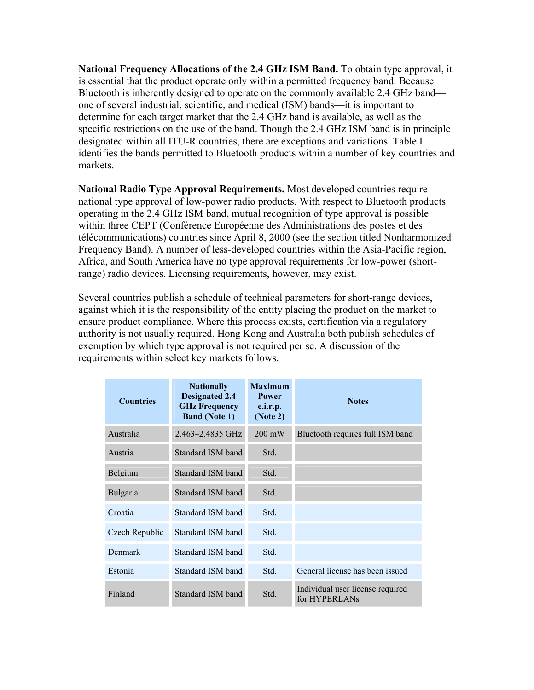**National Frequency Allocations of the 2.4 GHz ISM Band.** To obtain type approval, it is essential that the product operate only within a permitted frequency band. Because Bluetooth is inherently designed to operate on the commonly available 2.4 GHz band one of several industrial, scientific, and medical (ISM) bands—it is important to determine for each target market that the 2.4 GHz band is available, as well as the specific restrictions on the use of the band. Though the 2.4 GHz ISM band is in principle designated within all ITU-R countries, there are exceptions and variations. Table I identifies the bands permitted to Bluetooth products within a number of key countries and markets.

**National Radio Type Approval Requirements.** Most developed countries require national type approval of low-power radio products. With respect to Bluetooth products operating in the 2.4 GHz ISM band, mutual recognition of type approval is possible within three CEPT (Conférence Européenne des Administrations des postes et des télécommunications) countries since April 8, 2000 (see the section titled Nonharmonized Frequency Band). A number of less-developed countries within the Asia-Pacific region, Africa, and South America have no type approval requirements for low-power (shortrange) radio devices. Licensing requirements, however, may exist.

Several countries publish a schedule of technical parameters for short-range devices, against which it is the responsibility of the entity placing the product on the market to ensure product compliance. Where this process exists, certification via a regulatory authority is not usually required. Hong Kong and Australia both publish schedules of exemption by which type approval is not required per se. A discussion of the requirements within select key markets follows.

| <b>Countries</b> | <b>Nationally</b><br><b>Designated 2.4</b><br><b>GHz Frequency</b><br><b>Band (Note 1)</b> | <b>Maximum</b><br>Power<br>e.i.r.p.<br>(Note 2) | <b>Notes</b>                                      |
|------------------|--------------------------------------------------------------------------------------------|-------------------------------------------------|---------------------------------------------------|
| Australia        | 2.463-2.4835 GHz                                                                           | $200 \text{ mW}$                                | Bluetooth requires full ISM band                  |
| Austria          | Standard ISM band                                                                          | Std.                                            |                                                   |
| Belgium          | Standard ISM band                                                                          | Std.                                            |                                                   |
| Bulgaria         | Standard ISM band                                                                          | Std.                                            |                                                   |
| Croatia          | Standard ISM band                                                                          | Std.                                            |                                                   |
| Czech Republic   | Standard ISM band                                                                          | Std.                                            |                                                   |
| Denmark          | Standard ISM band                                                                          | Std.                                            |                                                   |
| Estonia          | Standard ISM band                                                                          | Std.                                            | General license has been issued                   |
| Finland          | Standard ISM band                                                                          | Std.                                            | Individual user license required<br>for HYPERLANs |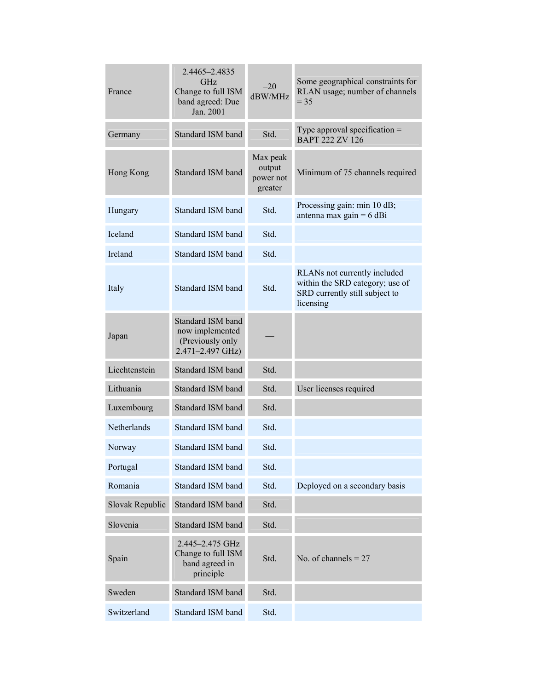| France          | 2.4465-2.4835<br><b>GHz</b><br>Change to full ISM<br>band agreed: Due<br>Jan. 2001 | $-20$<br>dBW/MHz                           | Some geographical constraints for<br>RLAN usage; number of channels<br>$= 35$                                  |
|-----------------|------------------------------------------------------------------------------------|--------------------------------------------|----------------------------------------------------------------------------------------------------------------|
| Germany         | Standard ISM band                                                                  | Std.                                       | Type approval specification $=$<br><b>BAPT 222 ZV 126</b>                                                      |
| Hong Kong       | <b>Standard ISM band</b>                                                           | Max peak<br>output<br>power not<br>greater | Minimum of 75 channels required                                                                                |
| Hungary         | Standard ISM band                                                                  | Std.                                       | Processing gain: min 10 dB;<br>antenna max gain = $6$ dBi                                                      |
| <b>Iceland</b>  | Standard ISM band                                                                  | Std.                                       |                                                                                                                |
| <b>Ireland</b>  | Standard ISM band                                                                  | Std.                                       |                                                                                                                |
| Italy           | <b>Standard ISM band</b>                                                           | Std.                                       | RLANs not currently included<br>within the SRD category; use of<br>SRD currently still subject to<br>licensing |
| Japan           | Standard ISM band<br>now implemented<br>(Previously only<br>2.471-2.497 GHz)       |                                            |                                                                                                                |
| Liechtenstein   | Standard ISM band                                                                  | Std.                                       |                                                                                                                |
| Lithuania       | Standard ISM band                                                                  | Std.                                       | User licenses required                                                                                         |
| Luxembourg      | Standard ISM band                                                                  | Std.                                       |                                                                                                                |
| Netherlands     | Standard ISM band                                                                  | Std.                                       |                                                                                                                |
| Norway          | Standard ISM band                                                                  | Std.                                       |                                                                                                                |
| Portugal        | Standard ISM band                                                                  | Std.                                       |                                                                                                                |
| Romania         | Standard ISM band                                                                  | Std.                                       | Deployed on a secondary basis                                                                                  |
| Slovak Republic | Standard ISM band                                                                  | Std.                                       |                                                                                                                |
| Slovenia        | Standard ISM band                                                                  | Std.                                       |                                                                                                                |
| Spain           | 2.445-2.475 GHz<br>Change to full ISM<br>band agreed in<br>principle               | Std.                                       | No. of channels $= 27$                                                                                         |
| Sweden          | Standard ISM band                                                                  | Std.                                       |                                                                                                                |
| Switzerland     | Standard ISM band                                                                  | Std.                                       |                                                                                                                |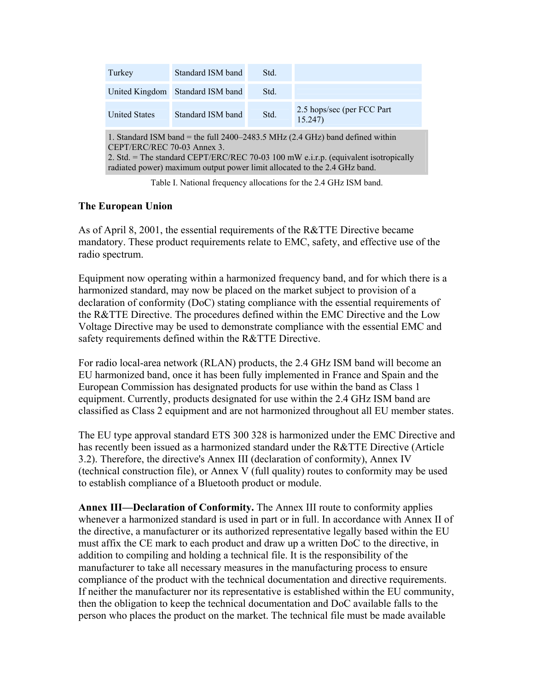| Turkey                                                                                                                                                                                                                                                                             | Standard ISM band | Std. |                                       |  |  |  |  |
|------------------------------------------------------------------------------------------------------------------------------------------------------------------------------------------------------------------------------------------------------------------------------------|-------------------|------|---------------------------------------|--|--|--|--|
| United Kingdom                                                                                                                                                                                                                                                                     | Standard ISM band | Std. |                                       |  |  |  |  |
| <b>United States</b>                                                                                                                                                                                                                                                               | Standard ISM band | Std. | 2.5 hops/sec (per FCC Part)<br>15.247 |  |  |  |  |
| 1. Standard ISM band = the full $2400-2483.5$ MHz (2.4 GHz) band defined within<br>CEPT/ERC/REC 70-03 Annex 3.<br>2. Std. = The standard CEPT/ERC/REC 70-03 100 mW e.i.r.p. (equivalent isotropically<br>radiated power) maximum output power limit allocated to the 2.4 GHz band. |                   |      |                                       |  |  |  |  |

Table I. National frequency allocations for the 2.4 GHz ISM band.

## **The European Union**

As of April 8, 2001, the essential requirements of the R&TTE Directive became mandatory. These product requirements relate to EMC, safety, and effective use of the radio spectrum.

Equipment now operating within a harmonized frequency band, and for which there is a harmonized standard, may now be placed on the market subject to provision of a declaration of conformity (DoC) stating compliance with the essential requirements of the R&TTE Directive. The procedures defined within the EMC Directive and the Low Voltage Directive may be used to demonstrate compliance with the essential EMC and safety requirements defined within the R&TTE Directive.

For radio local-area network (RLAN) products, the 2.4 GHz ISM band will become an EU harmonized band, once it has been fully implemented in France and Spain and the European Commission has designated products for use within the band as Class 1 equipment. Currently, products designated for use within the 2.4 GHz ISM band are classified as Class 2 equipment and are not harmonized throughout all EU member states.

The EU type approval standard ETS 300 328 is harmonized under the EMC Directive and has recently been issued as a harmonized standard under the R&TTE Directive (Article 3.2). Therefore, the directive's Annex III (declaration of conformity), Annex IV (technical construction file), or Annex V (full quality) routes to conformity may be used to establish compliance of a Bluetooth product or module.

**Annex III—Declaration of Conformity.** The Annex III route to conformity applies whenever a harmonized standard is used in part or in full. In accordance with Annex II of the directive, a manufacturer or its authorized representative legally based within the EU must affix the CE mark to each product and draw up a written DoC to the directive, in addition to compiling and holding a technical file. It is the responsibility of the manufacturer to take all necessary measures in the manufacturing process to ensure compliance of the product with the technical documentation and directive requirements. If neither the manufacturer nor its representative is established within the EU community, then the obligation to keep the technical documentation and DoC available falls to the person who places the product on the market. The technical file must be made available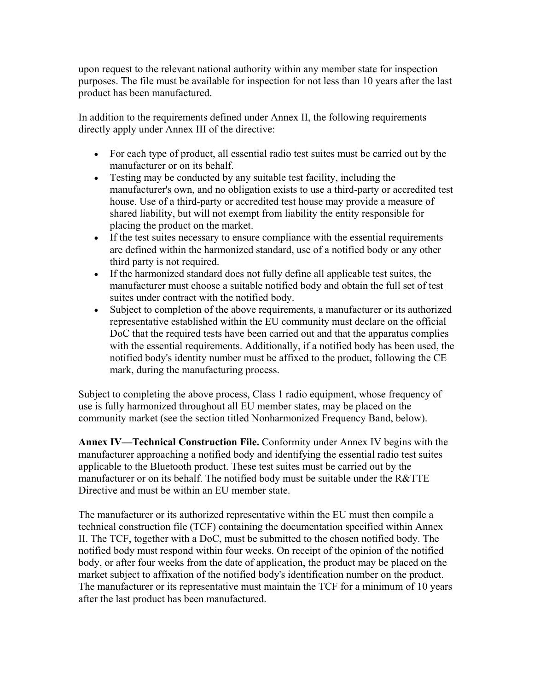upon request to the relevant national authority within any member state for inspection purposes. The file must be available for inspection for not less than 10 years after the last product has been manufactured.

In addition to the requirements defined under Annex II, the following requirements directly apply under Annex III of the directive:

- For each type of product, all essential radio test suites must be carried out by the manufacturer or on its behalf.
- Testing may be conducted by any suitable test facility, including the manufacturer's own, and no obligation exists to use a third-party or accredited test house. Use of a third-party or accredited test house may provide a measure of shared liability, but will not exempt from liability the entity responsible for placing the product on the market.
- If the test suites necessary to ensure compliance with the essential requirements are defined within the harmonized standard, use of a notified body or any other third party is not required.
- If the harmonized standard does not fully define all applicable test suites, the manufacturer must choose a suitable notified body and obtain the full set of test suites under contract with the notified body.
- Subject to completion of the above requirements, a manufacturer or its authorized representative established within the EU community must declare on the official DoC that the required tests have been carried out and that the apparatus complies with the essential requirements. Additionally, if a notified body has been used, the notified body's identity number must be affixed to the product, following the CE mark, during the manufacturing process.

Subject to completing the above process, Class 1 radio equipment, whose frequency of use is fully harmonized throughout all EU member states, may be placed on the community market (see the section titled Nonharmonized Frequency Band, below).

**Annex IV—Technical Construction File.** Conformity under Annex IV begins with the manufacturer approaching a notified body and identifying the essential radio test suites applicable to the Bluetooth product. These test suites must be carried out by the manufacturer or on its behalf. The notified body must be suitable under the R&TTE Directive and must be within an EU member state.

The manufacturer or its authorized representative within the EU must then compile a technical construction file (TCF) containing the documentation specified within Annex II. The TCF, together with a DoC, must be submitted to the chosen notified body. The notified body must respond within four weeks. On receipt of the opinion of the notified body, or after four weeks from the date of application, the product may be placed on the market subject to affixation of the notified body's identification number on the product. The manufacturer or its representative must maintain the TCF for a minimum of 10 years after the last product has been manufactured.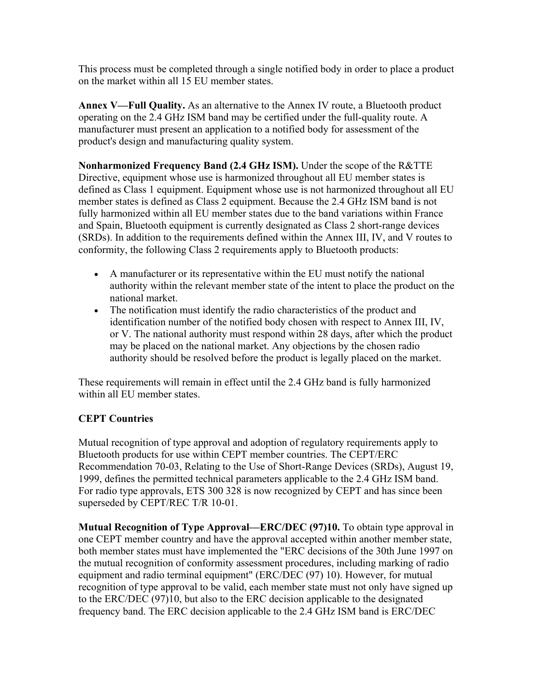This process must be completed through a single notified body in order to place a product on the market within all 15 EU member states.

**Annex V—Full Quality.** As an alternative to the Annex IV route, a Bluetooth product operating on the 2.4 GHz ISM band may be certified under the full-quality route. A manufacturer must present an application to a notified body for assessment of the product's design and manufacturing quality system.

**Nonharmonized Frequency Band (2.4 GHz ISM).** Under the scope of the R&TTE Directive, equipment whose use is harmonized throughout all EU member states is defined as Class 1 equipment. Equipment whose use is not harmonized throughout all EU member states is defined as Class 2 equipment. Because the 2.4 GHz ISM band is not fully harmonized within all EU member states due to the band variations within France and Spain, Bluetooth equipment is currently designated as Class 2 short-range devices (SRDs). In addition to the requirements defined within the Annex III, IV, and V routes to conformity, the following Class 2 requirements apply to Bluetooth products:

- A manufacturer or its representative within the EU must notify the national authority within the relevant member state of the intent to place the product on the national market.
- The notification must identify the radio characteristics of the product and identification number of the notified body chosen with respect to Annex III, IV, or V. The national authority must respond within 28 days, after which the product may be placed on the national market. Any objections by the chosen radio authority should be resolved before the product is legally placed on the market.

These requirements will remain in effect until the 2.4 GHz band is fully harmonized within all EU member states.

## **CEPT Countries**

Mutual recognition of type approval and adoption of regulatory requirements apply to Bluetooth products for use within CEPT member countries. The CEPT/ERC Recommendation 70-03, Relating to the Use of Short-Range Devices (SRDs), August 19, 1999, defines the permitted technical parameters applicable to the 2.4 GHz ISM band. For radio type approvals, ETS 300 328 is now recognized by CEPT and has since been superseded by CEPT/REC T/R 10-01.

**Mutual Recognition of Type Approval—ERC/DEC (97)10.** To obtain type approval in one CEPT member country and have the approval accepted within another member state, both member states must have implemented the "ERC decisions of the 30th June 1997 on the mutual recognition of conformity assessment procedures, including marking of radio equipment and radio terminal equipment" (ERC/DEC (97) 10). However, for mutual recognition of type approval to be valid, each member state must not only have signed up to the ERC/DEC (97)10, but also to the ERC decision applicable to the designated frequency band. The ERC decision applicable to the 2.4 GHz ISM band is ERC/DEC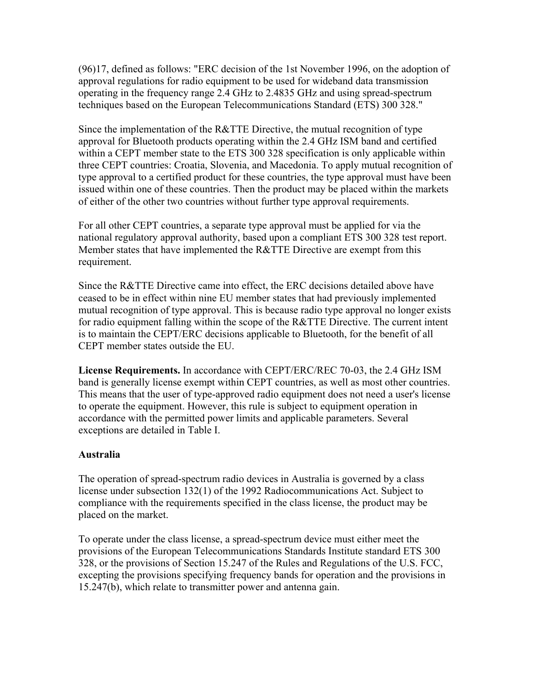(96)17, defined as follows: "ERC decision of the 1st November 1996, on the adoption of approval regulations for radio equipment to be used for wideband data transmission operating in the frequency range 2.4 GHz to 2.4835 GHz and using spread-spectrum techniques based on the European Telecommunications Standard (ETS) 300 328."

Since the implementation of the R&TTE Directive, the mutual recognition of type approval for Bluetooth products operating within the 2.4 GHz ISM band and certified within a CEPT member state to the ETS 300 328 specification is only applicable within three CEPT countries: Croatia, Slovenia, and Macedonia. To apply mutual recognition of type approval to a certified product for these countries, the type approval must have been issued within one of these countries. Then the product may be placed within the markets of either of the other two countries without further type approval requirements.

For all other CEPT countries, a separate type approval must be applied for via the national regulatory approval authority, based upon a compliant ETS 300 328 test report. Member states that have implemented the R&TTE Directive are exempt from this requirement.

Since the R&TTE Directive came into effect, the ERC decisions detailed above have ceased to be in effect within nine EU member states that had previously implemented mutual recognition of type approval. This is because radio type approval no longer exists for radio equipment falling within the scope of the R&TTE Directive. The current intent is to maintain the CEPT/ERC decisions applicable to Bluetooth, for the benefit of all CEPT member states outside the EU.

**License Requirements.** In accordance with CEPT/ERC/REC 70-03, the 2.4 GHz ISM band is generally license exempt within CEPT countries, as well as most other countries. This means that the user of type-approved radio equipment does not need a user's license to operate the equipment. However, this rule is subject to equipment operation in accordance with the permitted power limits and applicable parameters. Several exceptions are detailed in Table I.

## **Australia**

The operation of spread-spectrum radio devices in Australia is governed by a class license under subsection 132(1) of the 1992 Radiocommunications Act. Subject to compliance with the requirements specified in the class license, the product may be placed on the market.

To operate under the class license, a spread-spectrum device must either meet the provisions of the European Telecommunications Standards Institute standard ETS 300 328, or the provisions of Section 15.247 of the Rules and Regulations of the U.S. FCC, excepting the provisions specifying frequency bands for operation and the provisions in 15.247(b), which relate to transmitter power and antenna gain.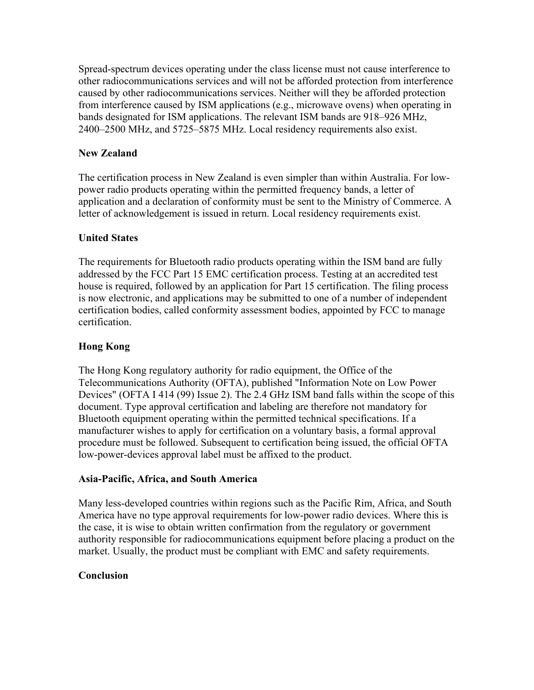Spread-spectrum devices operating under the class license must not cause interference to other radiocommunications services and will not be afforded protection from interference caused by other radiocommunications services. Neither will they be afforded protection from interference caused by ISM applications (e.g., microwave ovens) when operating in bands designated for ISM applications. The relevant ISM bands are 918–926 MHz, 2400–2500 MHz, and 5725–5875 MHz. Local residency requirements also exist.

# **New Zealand**

The certification process in New Zealand is even simpler than within Australia. For lowpower radio products operating within the permitted frequency bands, a letter of application and a declaration of conformity must be sent to the Ministry of Commerce. A letter of acknowledgement is issued in return. Local residency requirements exist.

# **United States**

The requirements for Bluetooth radio products operating within the ISM band are fully addressed by the FCC Part 15 EMC certification process. Testing at an accredited test house is required, followed by an application for Part 15 certification. The filing process is now electronic, and applications may be submitted to one of a number of independent certification bodies, called conformity assessment bodies, appointed by FCC to manage certification.

# **Hong Kong**

The Hong Kong regulatory authority for radio equipment, the Office of the Telecommunications Authority (OFTA), published "Information Note on Low Power Devices" (OFTA I 414 (99) Issue 2). The 2.4 GHz ISM band falls within the scope of this document. Type approval certification and labeling are therefore not mandatory for Bluetooth equipment operating within the permitted technical specifications. If a manufacturer wishes to apply for certification on a voluntary basis, a formal approval procedure must be followed. Subsequent to certification being issued, the official OFTA low-power-devices approval label must be affixed to the product.

## **Asia-Pacific, Africa, and South America**

Many less-developed countries within regions such as the Pacific Rim, Africa, and South America have no type approval requirements for low-power radio devices. Where this is the case, it is wise to obtain written confirmation from the regulatory or government authority responsible for radiocommunications equipment before placing a product on the market. Usually, the product must be compliant with EMC and safety requirements.

## **Conclusion**